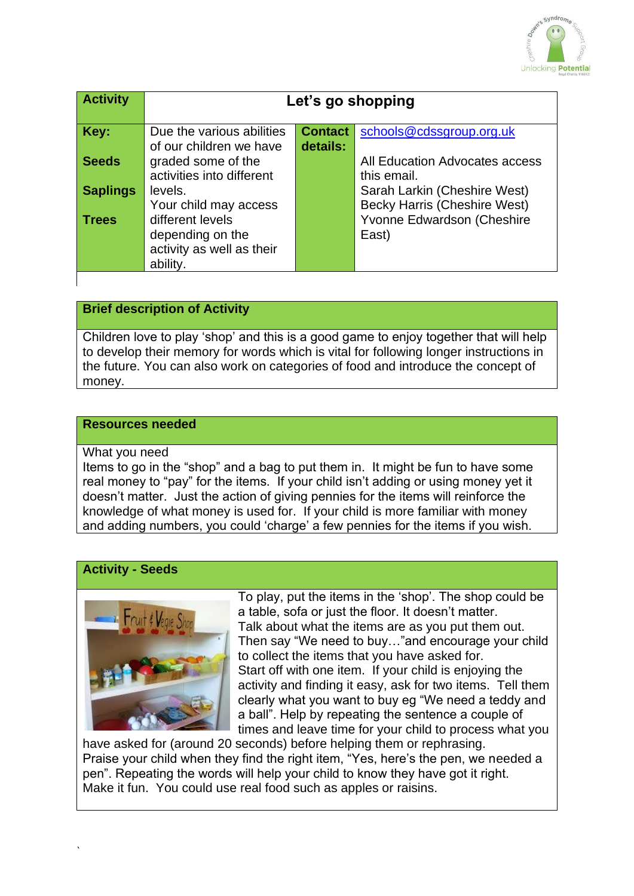

| <b>Activity</b> | Let's go shopping         |                |                                     |
|-----------------|---------------------------|----------------|-------------------------------------|
| Key:            | Due the various abilities | <b>Contact</b> | schools@cdssgroup.org.uk            |
|                 | of our children we have   | details:       |                                     |
| <b>Seeds</b>    | graded some of the        |                | All Education Advocates access      |
|                 | activities into different |                | this email.                         |
| <b>Saplings</b> | levels.                   |                | Sarah Larkin (Cheshire West)        |
|                 | Your child may access     |                | <b>Becky Harris (Cheshire West)</b> |
| <b>Trees</b>    | different levels          |                | Yvonne Edwardson (Cheshire          |
|                 | depending on the          |                | East)                               |
|                 | activity as well as their |                |                                     |
|                 | ability.                  |                |                                     |

# **Brief description of Activity**

Children love to play 'shop' and this is a good game to enjoy together that will help to develop their memory for words which is vital for following longer instructions in the future. You can also work on categories of food and introduce the concept of money.

### **Resources needed**

#### What you need

Items to go in the "shop" and a bag to put them in. It might be fun to have some real money to "pay" for the items. If your child isn't adding or using money yet it doesn't matter. Just the action of giving pennies for the items will reinforce the knowledge of what money is used for. If your child is more familiar with money and adding numbers, you could 'charge' a few pennies for the items if you wish.

### **Activity - Seeds**



To play, put the items in the 'shop'. The shop could be a table, sofa or just the floor. It doesn't matter. Talk about what the items are as you put them out. Then say "We need to buy…"and encourage your child to collect the items that you have asked for. Start off with one item. If your child is enjoying the activity and finding it easy, ask for two items. Tell them clearly what you want to buy eg "We need a teddy and a ball". Help by repeating the sentence a couple of times and leave time for your child to process what you

have asked for (around 20 seconds) before helping them or rephrasing. Praise your child when they find the right item, "Yes, here's the pen, we needed a pen". Repeating the words will help your child to know they have got it right. Make it fun. You could use real food such as apples or raisins.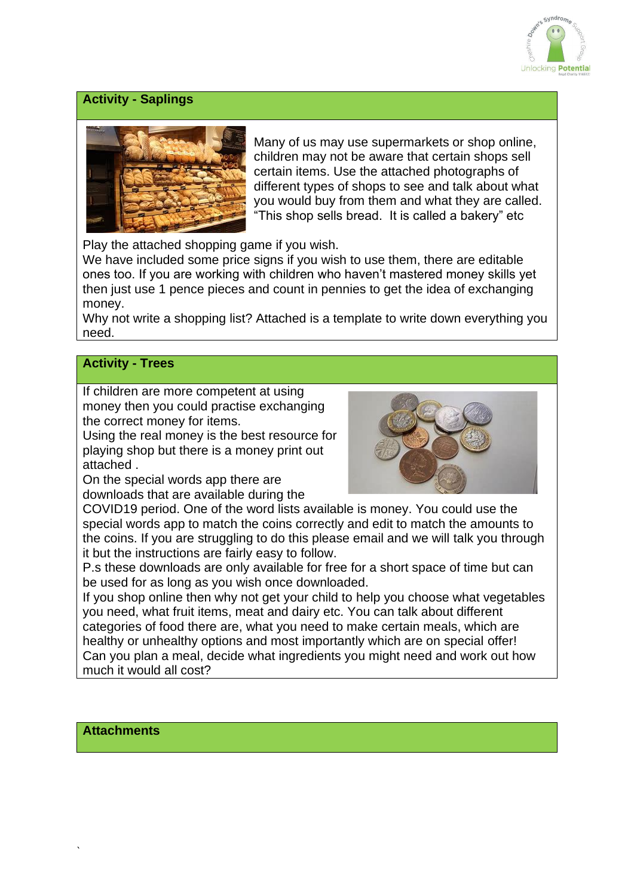

## **Activity - Saplings**



Many of us may use supermarkets or shop online, children may not be aware that certain shops sell certain items. Use the attached photographs of different types of shops to see and talk about what you would buy from them and what they are called. "This shop sells bread. It is called a bakery" etc

Play the attached shopping game if you wish.

We have included some price signs if you wish to use them, there are editable ones too. If you are working with children who haven't mastered money skills yet then just use 1 pence pieces and count in pennies to get the idea of exchanging money.

Why not write a shopping list? Attached is a template to write down everything you need.

### **Activity - Trees**

If children are more competent at using money then you could practise exchanging the correct money for items.

Using the real money is the best resource for playing shop but there is a money print out attached .

On the special words app there are downloads that are available during the



COVID19 period. One of the word lists available is money. You could use the special words app to match the coins correctly and edit to match the amounts to the coins. If you are struggling to do this please email and we will talk you through it but the instructions are fairly easy to follow.

P.s these downloads are only available for free for a short space of time but can be used for as long as you wish once downloaded.

If you shop online then why not get your child to help you choose what vegetables you need, what fruit items, meat and dairy etc. You can talk about different categories of food there are, what you need to make certain meals, which are healthy or unhealthy options and most importantly which are on special offer! Can you plan a meal, decide what ingredients you might need and work out how much it would all cost?

**Attachments**

`